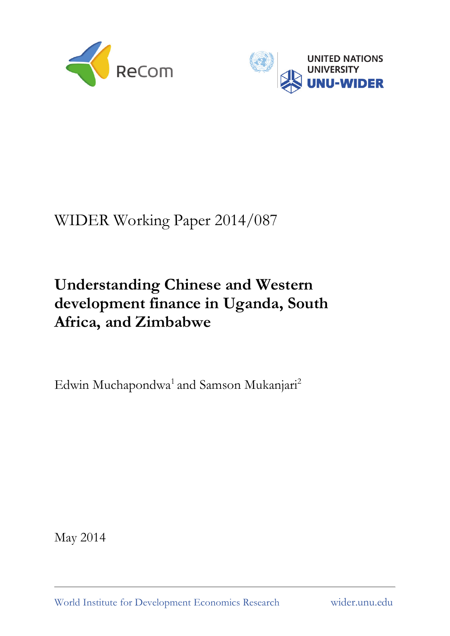



# WIDER Working Paper 2014/087

# **Understanding Chinese and Western development finance in Uganda, South Africa, and Zimbabwe**

Edwin Muchapondwa<sup>1</sup> and Samson Mukanjari<sup>2</sup>

May 2014

World Institute for Development Economics Research wider.unu.edu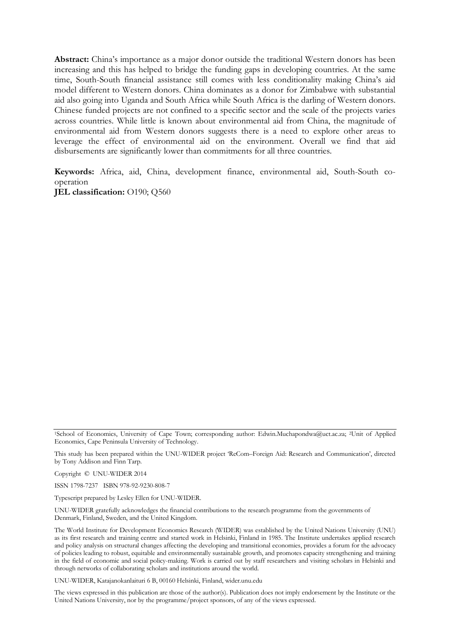**Abstract:** China's importance as a major donor outside the traditional Western donors has been increasing and this has helped to bridge the funding gaps in developing countries. At the same time, South-South financial assistance still comes with less conditionality making China's aid model different to Western donors. China dominates as a donor for Zimbabwe with substantial aid also going into Uganda and South Africa while South Africa is the darling of Western donors. Chinese funded projects are not confined to a specific sector and the scale of the projects varies across countries. While little is known about environmental aid from China, the magnitude of environmental aid from Western donors suggests there is a need to explore other areas to leverage the effect of environmental aid on the environment. Overall we find that aid disbursements are significantly lower than commitments for all three countries.

**Keywords:** Africa, aid, China, development finance, environmental aid, South-South cooperation

**JEL classification:** O190; Q560

Copyright © UNU-WIDER 2014

ISSN 1798-7237 ISBN 978-92-9230-808-7

Typescript prepared by Lesley Ellen for UNU-WIDER.

UNU-WIDER gratefully acknowledges the financial contributions to the research programme from the governments of Denmark, Finland, Sweden, and the United Kingdom.

The World Institute for Development Economics Research (WIDER) was established by the United Nations University (UNU) as its first research and training centre and started work in Helsinki, Finland in 1985. The Institute undertakes applied research and policy analysis on structural changes affecting the developing and transitional economies, provides a forum for the advocacy of policies leading to robust, equitable and environmentally sustainable growth, and promotes capacity strengthening and training in the field of economic and social policy-making. Work is carried out by staff researchers and visiting scholars in Helsinki and through networks of collaborating scholars and institutions around the world.

UNU-WIDER, Katajanokanlaituri 6 B, 00160 Helsinki, Finland, wider.unu.edu

The views expressed in this publication are those of the author(s). Publication does not imply endorsement by the Institute or the United Nations University, nor by the programme/project sponsors, of any of the views expressed.

<sup>1</sup>School of Economics, University of Cape Town; corresponding author: Edwin.Muchapondwa@uct.ac.za; 2Unit of Applied Economics, Cape Peninsula University of Technology.

This study has been prepared within the UNU-WIDER project 'ReCom–Foreign Aid: Research and Communication', directed by Tony Addison and Finn Tarp.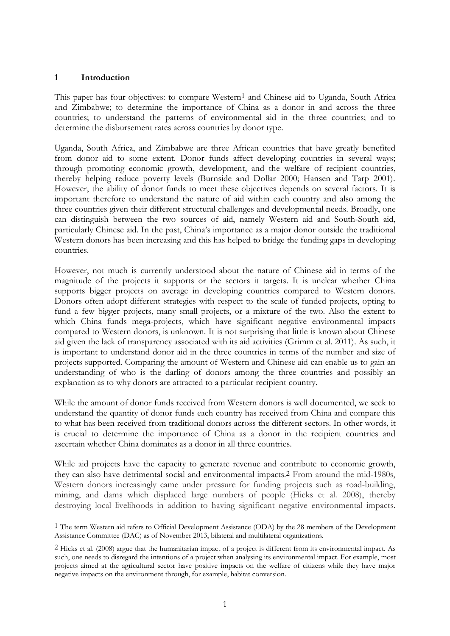# **1 Introduction**

<u>.</u>

This paper has four objectives: to compare Western<sup>1</sup> and Chinese aid to Uganda, South Africa and Zimbabwe; to determine the importance of China as a donor in and across the three countries; to understand the patterns of environmental aid in the three countries; and to determine the disbursement rates across countries by donor type.

Uganda, South Africa, and Zimbabwe are three African countries that have greatly benefited from donor aid to some extent. Donor funds affect developing countries in several ways; through promoting economic growth, development, and the welfare of recipient countries, thereby helping reduce poverty levels (Burnside and Dollar 2000; Hansen and Tarp 2001). However, the ability of donor funds to meet these objectives depends on several factors. It is important therefore to understand the nature of aid within each country and also among the three countries given their different structural challenges and developmental needs. Broadly, one can distinguish between the two sources of aid, namely Western aid and South-South aid, particularly Chinese aid. In the past, China's importance as a major donor outside the traditional Western donors has been increasing and this has helped to bridge the funding gaps in developing countries.

However, not much is currently understood about the nature of Chinese aid in terms of the magnitude of the projects it supports or the sectors it targets. It is unclear whether China supports bigger projects on average in developing countries compared to Western donors. Donors often adopt different strategies with respect to the scale of funded projects, opting to fund a few bigger projects, many small projects, or a mixture of the two. Also the extent to which China funds mega-projects, which have significant negative environmental impacts compared to Western donors, is unknown. It is not surprising that little is known about Chinese aid given the lack of transparency associated with its aid activities (Grimm et al. 2011). As such, it is important to understand donor aid in the three countries in terms of the number and size of projects supported. Comparing the amount of Western and Chinese aid can enable us to gain an understanding of who is the darling of donors among the three countries and possibly an explanation as to why donors are attracted to a particular recipient country.

While the amount of donor funds received from Western donors is well documented, we seek to understand the quantity of donor funds each country has received from China and compare this to what has been received from traditional donors across the different sectors. In other words, it is crucial to determine the importance of China as a donor in the recipient countries and ascertain whether China dominates as a donor in all three countries.

While aid projects have the capacity to generate revenue and contribute to economic growth, they can also have detrimental social and environmental impacts.2 From around the mid-1980s, Western donors increasingly came under pressure for funding projects such as road-building, mining, and dams which displaced large numbers of people (Hicks et al. 2008), thereby destroying local livelihoods in addition to having significant negative environmental impacts.

<sup>1</sup> The term Western aid refers to Official Development Assistance (ODA) by the 28 members of the Development Assistance Committee (DAC) as of November 2013, bilateral and multilateral organizations.

<sup>2</sup> Hicks et al. (2008) argue that the humanitarian impact of a project is different from its environmental impact. As such, one needs to disregard the intentions of a project when analysing its environmental impact. For example, most projects aimed at the agricultural sector have positive impacts on the welfare of citizens while they have major negative impacts on the environment through, for example, habitat conversion.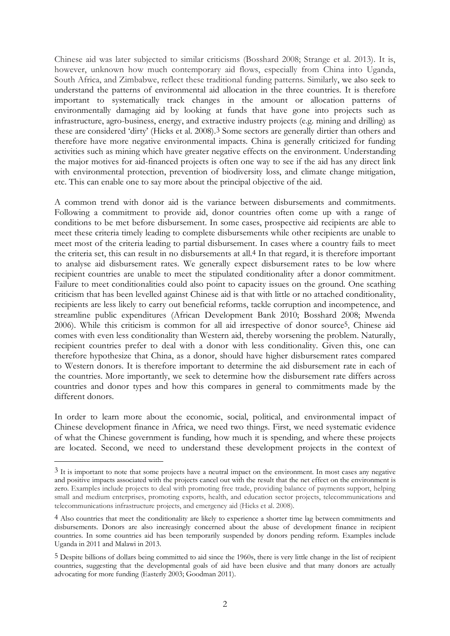Chinese aid was later subjected to similar criticisms (Bosshard 2008; Strange et al. 2013). It is, however, unknown how much contemporary aid flows, especially from China into Uganda, South Africa, and Zimbabwe, reflect these traditional funding patterns. Similarly, we also seek to understand the patterns of environmental aid allocation in the three countries. It is therefore important to systematically track changes in the amount or allocation patterns of environmentally damaging aid by looking at funds that have gone into projects such as infrastructure, agro-business, energy, and extractive industry projects (e.g. mining and drilling) as these are considered 'dirty' (Hicks et al. 2008).3 Some sectors are generally dirtier than others and therefore have more negative environmental impacts. China is generally criticized for funding activities such as mining which have greater negative effects on the environment. Understanding the major motives for aid-financed projects is often one way to see if the aid has any direct link with environmental protection, prevention of biodiversity loss, and climate change mitigation, etc. This can enable one to say more about the principal objective of the aid.

A common trend with donor aid is the variance between disbursements and commitments. Following a commitment to provide aid, donor countries often come up with a range of conditions to be met before disbursement. In some cases, prospective aid recipients are able to meet these criteria timely leading to complete disbursements while other recipients are unable to meet most of the criteria leading to partial disbursement. In cases where a country fails to meet the criteria set, this can result in no disbursements at all.4 In that regard, it is therefore important to analyse aid disbursement rates. We generally expect disbursement rates to be low where recipient countries are unable to meet the stipulated conditionality after a donor commitment. Failure to meet conditionalities could also point to capacity issues on the ground. One scathing criticism that has been levelled against Chinese aid is that with little or no attached conditionality, recipients are less likely to carry out beneficial reforms, tackle corruption and incompetence, and streamline public expenditures (African Development Bank 2010; Bosshard 2008; Mwenda 2006). While this criticism is common for all aid irrespective of donor source5, Chinese aid comes with even less conditionality than Western aid, thereby worsening the problem. Naturally, recipient countries prefer to deal with a donor with less conditionality. Given this, one can therefore hypothesize that China, as a donor, should have higher disbursement rates compared to Western donors. It is therefore important to determine the aid disbursement rate in each of the countries. More importantly, we seek to determine how the disbursement rate differs across countries and donor types and how this compares in general to commitments made by the different donors.

In order to learn more about the economic, social, political, and environmental impact of Chinese development finance in Africa, we need two things. First, we need systematic evidence of what the Chinese government is funding, how much it is spending, and where these projects are located. Second, we need to understand these development projects in the context of

-

<sup>3</sup> It is important to note that some projects have a neutral impact on the environment. In most cases any negative and positive impacts associated with the projects cancel out with the result that the net effect on the environment is zero. Examples include projects to deal with promoting free trade, providing balance of payments support, helping small and medium enterprises, promoting exports, health, and education sector projects, telecommunications and telecommunications infrastructure projects, and emergency aid (Hicks et al. 2008).

<sup>4</sup> Also countries that meet the conditionality are likely to experience a shorter time lag between commitments and disbursements. Donors are also increasingly concerned about the abuse of development finance in recipient countries. In some countries aid has been temporarily suspended by donors pending reform. Examples include Uganda in 2011 and Malawi in 2013.

<sup>5</sup> Despite billions of dollars being committed to aid since the 1960s, there is very little change in the list of recipient countries, suggesting that the developmental goals of aid have been elusive and that many donors are actually advocating for more funding (Easterly 2003; Goodman 2011).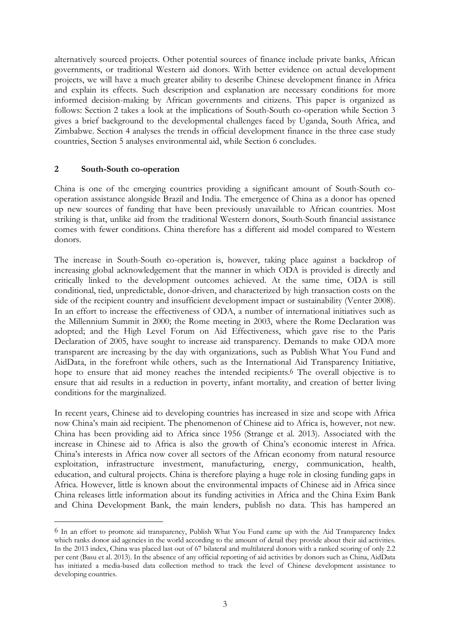alternatively sourced projects. Other potential sources of finance include private banks, African governments, or traditional Western aid donors. With better evidence on actual development projects, we will have a much greater ability to describe Chinese development finance in Africa and explain its effects. Such description and explanation are necessary conditions for more informed decision-making by African governments and citizens. This paper is organized as follows: Section 2 takes a look at the implications of South-South co-operation while Section 3 gives a brief background to the developmental challenges faced by Uganda, South Africa, and Zimbabwe. Section 4 analyses the trends in official development finance in the three case study countries, Section 5 analyses environmental aid, while Section 6 concludes.

## **2 South-South co-operation**

<u>.</u>

China is one of the emerging countries providing a significant amount of South-South cooperation assistance alongside Brazil and India. The emergence of China as a donor has opened up new sources of funding that have been previously unavailable to African countries. Most striking is that, unlike aid from the traditional Western donors, South-South financial assistance comes with fewer conditions. China therefore has a different aid model compared to Western donors.

The increase in South-South co-operation is, however, taking place against a backdrop of increasing global acknowledgement that the manner in which ODA is provided is directly and critically linked to the development outcomes achieved. At the same time, ODA is still conditional, tied, unpredictable, donor-driven, and characterized by high transaction costs on the side of the recipient country and insufficient development impact or sustainability (Venter 2008). In an effort to increase the effectiveness of ODA, a number of international initiatives such as the Millennium Summit in 2000; the Rome meeting in 2003, where the Rome Declaration was adopted; and the High Level Forum on Aid Effectiveness, which gave rise to the Paris Declaration of 2005, have sought to increase aid transparency. Demands to make ODA more transparent are increasing by the day with organizations, such as Publish What You Fund and AidData, in the forefront while others, such as the International Aid Transparency Initiative, hope to ensure that aid money reaches the intended recipients.<sup>6</sup> The overall objective is to ensure that aid results in a reduction in poverty, infant mortality, and creation of better living conditions for the marginalized.

In recent years, Chinese aid to developing countries has increased in size and scope with Africa now China's main aid recipient. The phenomenon of Chinese aid to Africa is, however, not new. China has been providing aid to Africa since 1956 (Strange et al. 2013). Associated with the increase in Chinese aid to Africa is also the growth of China's economic interest in Africa. China's interests in Africa now cover all sectors of the African economy from natural resource exploitation, infrastructure investment, manufacturing, energy, communication, health, education, and cultural projects. China is therefore playing a huge role in closing funding gaps in Africa. However, little is known about the environmental impacts of Chinese aid in Africa since China releases little information about its funding activities in Africa and the China Exim Bank and China Development Bank, the main lenders, publish no data. This has hampered an

<sup>6</sup> In an effort to promote aid transparency, Publish What You Fund came up with the Aid Transparency Index which ranks donor aid agencies in the world according to the amount of detail they provide about their aid activities. In the 2013 index, China was placed last out of 67 bilateral and multilateral donors with a ranked scoring of only 2.2 per cent (Basu et al. 2013). In the absence of any official reporting of aid activities by donors such as China, AidData has initiated a media-based data collection method to track the level of Chinese development assistance to developing countries.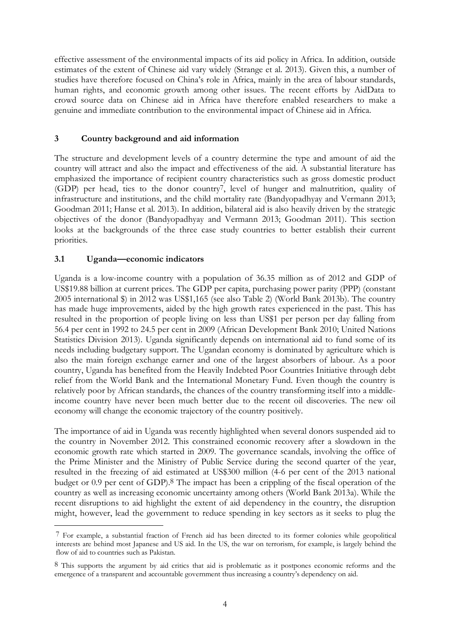effective assessment of the environmental impacts of its aid policy in Africa. In addition, outside estimates of the extent of Chinese aid vary widely (Strange et al. 2013). Given this, a number of studies have therefore focused on China's role in Africa, mainly in the area of labour standards, human rights, and economic growth among other issues. The recent efforts by AidData to crowd source data on Chinese aid in Africa have therefore enabled researchers to make a genuine and immediate contribution to the environmental impact of Chinese aid in Africa.

# **3 Country background and aid information**

The structure and development levels of a country determine the type and amount of aid the country will attract and also the impact and effectiveness of the aid. A substantial literature has emphasized the importance of recipient country characteristics such as gross domestic product (GDP) per head, ties to the donor country7, level of hunger and malnutrition, quality of infrastructure and institutions, and the child mortality rate (Bandyopadhyay and Vermann 2013; Goodman 2011; Hanse et al. 2013). In addition, bilateral aid is also heavily driven by the strategic objectives of the donor (Bandyopadhyay and Vermann 2013; Goodman 2011). This section looks at the backgrounds of the three case study countries to better establish their current priorities.

# **3.1 Uganda—economic indicators**

-

Uganda is a low-income country with a population of 36.35 million as of 2012 and GDP of US\$19.88 billion at current prices. The GDP per capita, purchasing power parity (PPP) (constant 2005 international \$) in 2012 was US\$1,165 (see also Table 2) (World Bank 2013b). The country has made huge improvements, aided by the high growth rates experienced in the past. This has resulted in the proportion of people living on less than US\$1 per person per day falling from 56.4 per cent in 1992 to 24.5 per cent in 2009 (African Development Bank 2010; United Nations Statistics Division 2013). Uganda significantly depends on international aid to fund some of its needs including budgetary support. The Ugandan economy is dominated by agriculture which is also the main foreign exchange earner and one of the largest absorbers of labour. As a poor country, Uganda has benefited from the Heavily Indebted Poor Countries Initiative through debt relief from the World Bank and the International Monetary Fund. Even though the country is relatively poor by African standards, the chances of the country transforming itself into a middleincome country have never been much better due to the recent oil discoveries. The new oil economy will change the economic trajectory of the country positively.

The importance of aid in Uganda was recently highlighted when several donors suspended aid to the country in November 2012. This constrained economic recovery after a slowdown in the economic growth rate which started in 2009. The governance scandals, involving the office of the Prime Minister and the Ministry of Public Service during the second quarter of the year, resulted in the freezing of aid estimated at US\$300 million (4-6 per cent of the 2013 national budget or 0.9 per cent of GDP).8 The impact has been a crippling of the fiscal operation of the country as well as increasing economic uncertainty among others (World Bank 2013a). While the recent disruptions to aid highlight the extent of aid dependency in the country, the disruption might, however, lead the government to reduce spending in key sectors as it seeks to plug the

<sup>7</sup> For example, a substantial fraction of French aid has been directed to its former colonies while geopolitical interests are behind most Japanese and US aid. In the US, the war on terrorism, for example, is largely behind the flow of aid to countries such as Pakistan.

<sup>8</sup> This supports the argument by aid critics that aid is problematic as it postpones economic reforms and the emergence of a transparent and accountable government thus increasing a country's dependency on aid.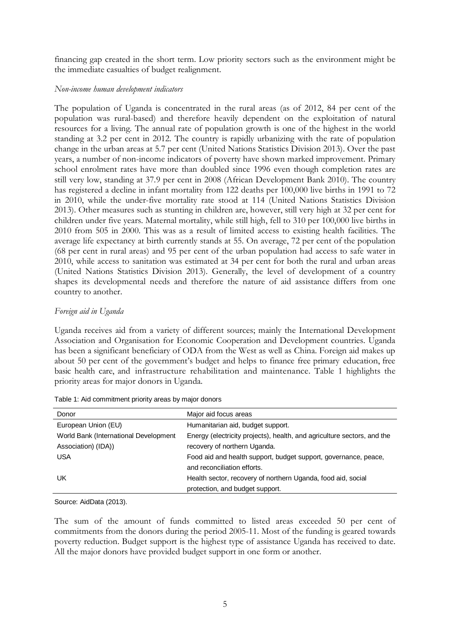financing gap created in the short term. Low priority sectors such as the environment might be the immediate casualties of budget realignment.

# *Non-income human development indicators*

The population of Uganda is concentrated in the rural areas (as of 2012, 84 per cent of the population was rural-based) and therefore heavily dependent on the exploitation of natural resources for a living. The annual rate of population growth is one of the highest in the world standing at 3.2 per cent in 2012. The country is rapidly urbanizing with the rate of population change in the urban areas at 5.7 per cent (United Nations Statistics Division 2013). Over the past years, a number of non-income indicators of poverty have shown marked improvement. Primary school enrolment rates have more than doubled since 1996 even though completion rates are still very low, standing at 37.9 per cent in 2008 (African Development Bank 2010). The country has registered a decline in infant mortality from 122 deaths per 100,000 live births in 1991 to 72 in 2010, while the under-five mortality rate stood at 114 (United Nations Statistics Division 2013). Other measures such as stunting in children are, however, still very high at 32 per cent for children under five years. Maternal mortality, while still high, fell to 310 per 100,000 live births in 2010 from 505 in 2000. This was as a result of limited access to existing health facilities. The average life expectancy at birth currently stands at 55. On average, 72 per cent of the population (68 per cent in rural areas) and 95 per cent of the urban population had access to safe water in 2010, while access to sanitation was estimated at 34 per cent for both the rural and urban areas (United Nations Statistics Division 2013). Generally, the level of development of a country shapes its developmental needs and therefore the nature of aid assistance differs from one country to another.

# *Foreign aid in Uganda*

Uganda receives aid from a variety of different sources; mainly the International Development Association and Organisation for Economic Cooperation and Development countries. Uganda has been a significant beneficiary of ODA from the West as well as China. Foreign aid makes up about 50 per cent of the government's budget and helps to finance free primary education, free basic health care, and infrastructure rehabilitation and maintenance. Table 1 highlights the priority areas for major donors in Uganda.

| Donor                                 | Major aid focus areas                                                   |
|---------------------------------------|-------------------------------------------------------------------------|
| European Union (EU)                   | Humanitarian aid, budget support.                                       |
| World Bank (International Development | Energy (electricity projects), health, and agriculture sectors, and the |
| Association) (IDA))                   | recovery of northern Uganda.                                            |
| <b>USA</b>                            | Food aid and health support, budget support, governance, peace,         |
|                                       | and reconciliation efforts.                                             |
| UK                                    | Health sector, recovery of northern Uganda, food aid, social            |
|                                       | protection, and budget support.                                         |

| Table 1: Aid commitment priority areas by major donors |  |  |
|--------------------------------------------------------|--|--|
|--------------------------------------------------------|--|--|

Source: AidData (2013).

The sum of the amount of funds committed to listed areas exceeded 50 per cent of commitments from the donors during the period 2005-11. Most of the funding is geared towards poverty reduction. Budget support is the highest type of assistance Uganda has received to date. All the major donors have provided budget support in one form or another.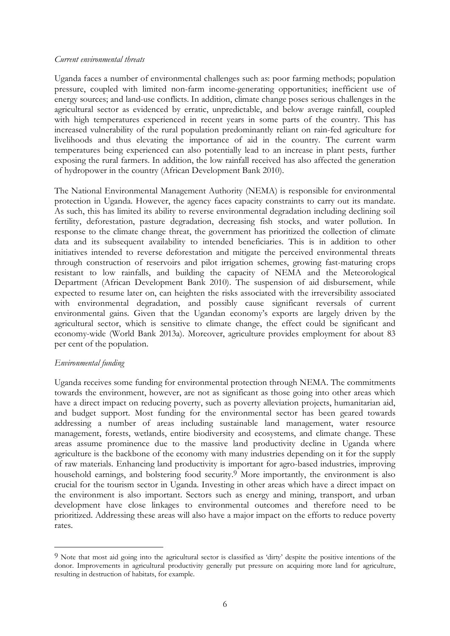#### *Current environmental threats*

Uganda faces a number of environmental challenges such as: poor farming methods; population pressure, coupled with limited non-farm income-generating opportunities; inefficient use of energy sources; and land-use conflicts. In addition, climate change poses serious challenges in the agricultural sector as evidenced by erratic, unpredictable, and below average rainfall, coupled with high temperatures experienced in recent years in some parts of the country. This has increased vulnerability of the rural population predominantly reliant on rain-fed agriculture for livelihoods and thus elevating the importance of aid in the country. The current warm temperatures being experienced can also potentially lead to an increase in plant pests, further exposing the rural farmers. In addition, the low rainfall received has also affected the generation of hydropower in the country (African Development Bank 2010).

The National Environmental Management Authority (NEMA) is responsible for environmental protection in Uganda. However, the agency faces capacity constraints to carry out its mandate. As such, this has limited its ability to reverse environmental degradation including declining soil fertility, deforestation, pasture degradation, decreasing fish stocks, and water pollution. In response to the climate change threat, the government has prioritized the collection of climate data and its subsequent availability to intended beneficiaries. This is in addition to other initiatives intended to reverse deforestation and mitigate the perceived environmental threats through construction of reservoirs and pilot irrigation schemes, growing fast-maturing crops resistant to low rainfalls, and building the capacity of NEMA and the Meteorological Department (African Development Bank 2010). The suspension of aid disbursement, while expected to resume later on, can heighten the risks associated with the irreversibility associated with environmental degradation, and possibly cause significant reversals of current environmental gains. Given that the Ugandan economy's exports are largely driven by the agricultural sector, which is sensitive to climate change, the effect could be significant and economy-wide (World Bank 2013a). Moreover, agriculture provides employment for about 83 per cent of the population.

# *Environmental funding*

-

Uganda receives some funding for environmental protection through NEMA. The commitments towards the environment, however, are not as significant as those going into other areas which have a direct impact on reducing poverty, such as poverty alleviation projects, humanitarian aid, and budget support. Most funding for the environmental sector has been geared towards addressing a number of areas including sustainable land management, water resource management, forests, wetlands, entire biodiversity and ecosystems, and climate change. These areas assume prominence due to the massive land productivity decline in Uganda where agriculture is the backbone of the economy with many industries depending on it for the supply of raw materials. Enhancing land productivity is important for agro-based industries, improving household earnings, and bolstering food security.<sup>9</sup> More importantly, the environment is also crucial for the tourism sector in Uganda. Investing in other areas which have a direct impact on the environment is also important. Sectors such as energy and mining, transport, and urban development have close linkages to environmental outcomes and therefore need to be prioritized. Addressing these areas will also have a major impact on the efforts to reduce poverty rates.

<sup>9</sup> Note that most aid going into the agricultural sector is classified as 'dirty' despite the positive intentions of the donor. Improvements in agricultural productivity generally put pressure on acquiring more land for agriculture, resulting in destruction of habitats, for example.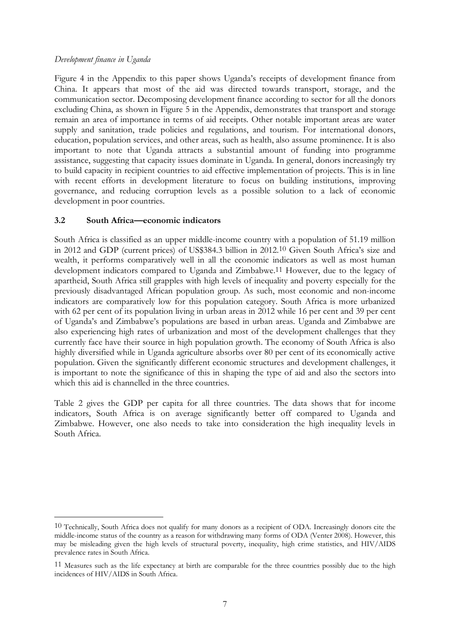### *Development finance in Uganda*

<u>.</u>

Figure 4 in the Appendix to this paper shows Uganda's receipts of development finance from China. It appears that most of the aid was directed towards transport, storage, and the communication sector. Decomposing development finance according to sector for all the donors excluding China, as shown in Figure 5 in the Appendix, demonstrates that transport and storage remain an area of importance in terms of aid receipts. Other notable important areas are water supply and sanitation, trade policies and regulations, and tourism. For international donors, education, population services, and other areas, such as health, also assume prominence. It is also important to note that Uganda attracts a substantial amount of funding into programme assistance, suggesting that capacity issues dominate in Uganda. In general, donors increasingly try to build capacity in recipient countries to aid effective implementation of projects. This is in line with recent efforts in development literature to focus on building institutions, improving governance, and reducing corruption levels as a possible solution to a lack of economic development in poor countries.

# **3.2 South Africa—economic indicators**

South Africa is classified as an upper middle-income country with a population of 51.19 million in 2012 and GDP (current prices) of US\$384.3 billion in 2012.10 Given South Africa's size and wealth, it performs comparatively well in all the economic indicators as well as most human development indicators compared to Uganda and Zimbabwe.11 However, due to the legacy of apartheid, South Africa still grapples with high levels of inequality and poverty especially for the previously disadvantaged African population group. As such, most economic and non-income indicators are comparatively low for this population category. South Africa is more urbanized with 62 per cent of its population living in urban areas in 2012 while 16 per cent and 39 per cent of Uganda's and Zimbabwe's populations are based in urban areas. Uganda and Zimbabwe are also experiencing high rates of urbanization and most of the development challenges that they currently face have their source in high population growth. The economy of South Africa is also highly diversified while in Uganda agriculture absorbs over 80 per cent of its economically active population. Given the significantly different economic structures and development challenges, it is important to note the significance of this in shaping the type of aid and also the sectors into which this aid is channelled in the three countries.

Table 2 gives the GDP per capita for all three countries. The data shows that for income indicators, South Africa is on average significantly better off compared to Uganda and Zimbabwe. However, one also needs to take into consideration the high inequality levels in South Africa.

<sup>10</sup> Technically, South Africa does not qualify for many donors as a recipient of ODA. Increasingly donors cite the middle-income status of the country as a reason for withdrawing many forms of ODA (Venter 2008). However, this may be misleading given the high levels of structural poverty, inequality, high crime statistics, and HIV/AIDS prevalence rates in South Africa.

<sup>11</sup> Measures such as the life expectancy at birth are comparable for the three countries possibly due to the high incidences of HIV/AIDS in South Africa.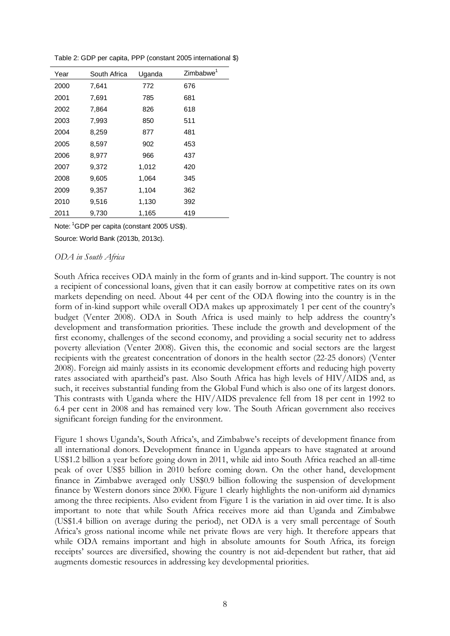| Year | South Africa | Uganda | Zimbabwe <sup>1</sup> |
|------|--------------|--------|-----------------------|
| 2000 | 7,641        | 772    | 676                   |
| 2001 | 7,691        | 785    | 681                   |
| 2002 | 7,864        | 826    | 618                   |
| 2003 | 7,993        | 850    | 511                   |
| 2004 | 8,259        | 877    | 481                   |
| 2005 | 8,597        | 902    | 453                   |
| 2006 | 8,977        | 966    | 437                   |
| 2007 | 9,372        | 1,012  | 420                   |
| 2008 | 9,605        | 1,064  | 345                   |
| 2009 | 9.357        | 1,104  | 362                   |
| 2010 | 9,516        | 1,130  | 392                   |
| 2011 | 9,730        | 1,165  | 419                   |

Table 2: GDP per capita, PPP (constant 2005 international \$)

Note: 1GDP per capita (constant 2005 US\$).

Source: World Bank (2013b, 2013c).

#### *ODA in South Africa*

South Africa receives ODA mainly in the form of grants and in-kind support. The country is not a recipient of concessional loans, given that it can easily borrow at competitive rates on its own markets depending on need. About 44 per cent of the ODA flowing into the country is in the form of in-kind support while overall ODA makes up approximately 1 per cent of the country's budget (Venter 2008). ODA in South Africa is used mainly to help address the country's development and transformation priorities. These include the growth and development of the first economy, challenges of the second economy, and providing a social security net to address poverty alleviation (Venter 2008). Given this, the economic and social sectors are the largest recipients with the greatest concentration of donors in the health sector (22-25 donors) (Venter 2008). Foreign aid mainly assists in its economic development efforts and reducing high poverty rates associated with apartheid's past. Also South Africa has high levels of HIV/AIDS and, as such, it receives substantial funding from the Global Fund which is also one of its largest donors. This contrasts with Uganda where the HIV/AIDS prevalence fell from 18 per cent in 1992 to 6.4 per cent in 2008 and has remained very low. The South African government also receives significant foreign funding for the environment.

Figure 1 shows Uganda's, South Africa's, and Zimbabwe's receipts of development finance from all international donors. Development finance in Uganda appears to have stagnated at around US\$1.2 billion a year before going down in 2011, while aid into South Africa reached an all-time peak of over US\$5 billion in 2010 before coming down. On the other hand, development finance in Zimbabwe averaged only US\$0.9 billion following the suspension of development finance by Western donors since 2000. Figure 1 clearly highlights the non-uniform aid dynamics among the three recipients. Also evident from Figure 1 is the variation in aid over time. It is also important to note that while South Africa receives more aid than Uganda and Zimbabwe (US\$1.4 billion on average during the period), net ODA is a very small percentage of South Africa's gross national income while net private flows are very high. It therefore appears that while ODA remains important and high in absolute amounts for South Africa, its foreign receipts' sources are diversified, showing the country is not aid-dependent but rather, that aid augments domestic resources in addressing key developmental priorities.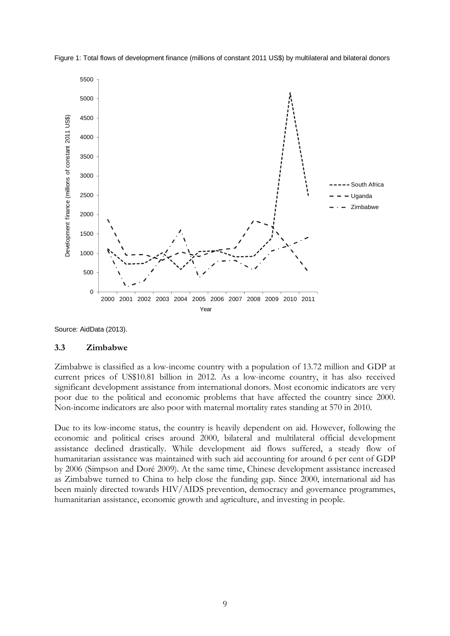

Figure 1: Total flows of development finance (millions of constant 2011 US\$) by multilateral and bilateral donors

Source: AidData (2013).

### **3.3 Zimbabwe**

Zimbabwe is classified as a low-income country with a population of 13.72 million and GDP at current prices of US\$10.81 billion in 2012. As a low-income country, it has also received significant development assistance from international donors. Most economic indicators are very poor due to the political and economic problems that have affected the country since 2000. Non-income indicators are also poor with maternal mortality rates standing at 570 in 2010.

Due to its low-income status, the country is heavily dependent on aid. However, following the economic and political crises around 2000, bilateral and multilateral official development assistance declined drastically. While development aid flows suffered, a steady flow of humanitarian assistance was maintained with such aid accounting for around 6 per cent of GDP by 2006 (Simpson and Doré 2009). At the same time, Chinese development assistance increased as Zimbabwe turned to China to help close the funding gap. Since 2000, international aid has been mainly directed towards HIV/AIDS prevention, democracy and governance programmes, humanitarian assistance, economic growth and agriculture, and investing in people.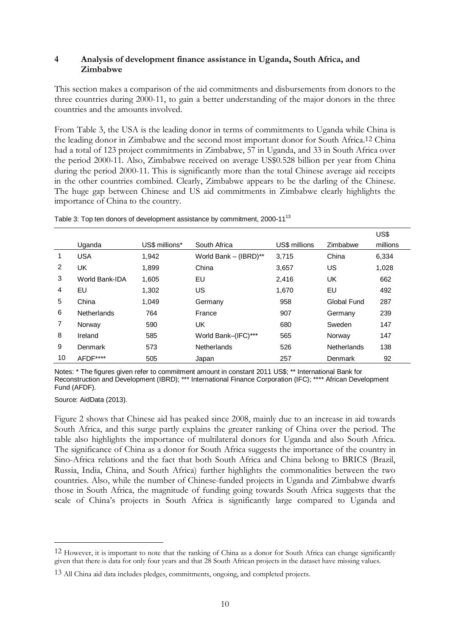# **4 Analysis of development finance assistance in Uganda, South Africa, and Zimbabwe**

This section makes a comparison of the aid commitments and disbursements from donors to the three countries during 2000-11, to gain a better understanding of the major donors in the three countries and the amounts involved.

From Table 3, the USA is the leading donor in terms of commitments to Uganda while China is the leading donor in Zimbabwe and the second most important donor for South Africa.12 China had a total of 123 project commitments in Zimbabwe, 57 in Uganda, and 33 in South Africa over the period 2000-11. Also, Zimbabwe received on average US\$0.528 billion per year from China during the period 2000-11. This is significantly more than the total Chinese average aid receipts in the other countries combined. Clearly, Zimbabwe appears to be the darling of the Chinese. The huge gap between Chinese and US aid commitments in Zimbabwe clearly highlights the importance of China to the country.

Table 3: Top ten donors of development assistance by commitment, 2000-11<sup>13</sup>

|    |                    |                |                         |               |                    | US\$     |
|----|--------------------|----------------|-------------------------|---------------|--------------------|----------|
|    | Uganda             | US\$ millions* | South Africa            | US\$ millions | Zimbabwe           | millions |
| 1  | <b>USA</b>         | 1,942          | World Bank $-$ (IBRD)** | 3,715         | China              | 6,334    |
| 2  | UK                 | 1,899          | China                   | 3,657         | US                 | 1,028    |
| 3  | World Bank-IDA     | 1,605          | EU                      | 2,416         | UK                 | 662      |
| 4  | EU                 | 1,302          | US                      | 1.670         | EU                 | 492      |
| 5  | China              | 1.049          | Germany                 | 958           | Global Fund        | 287      |
| 6  | <b>Netherlands</b> | 764            | France                  | 907           | Germany            | 239      |
| 7  | Norway             | 590            | UK                      | 680           | Sweden             | 147      |
| 8  | Ireland            | 585            | World Bank-(IFC)***     | 565           | Norway             | 147      |
| 9  | Denmark            | 573            | <b>Netherlands</b>      | 526           | <b>Netherlands</b> | 138      |
| 10 | AFDF****           | 505            | Japan                   | 257           | Denmark            | 92       |

Notes: \* The figures given refer to commitment amount in constant 2011 US\$; \*\* International Bank for Reconstruction and Development (IBRD); \*\*\* International Finance Corporation (IFC); \*\*\*\* African Development Fund (AFDF).

Source: AidData (2013).

-

Figure 2 shows that Chinese aid has peaked since 2008, mainly due to an increase in aid towards South Africa, and this surge partly explains the greater ranking of China over the period. The table also highlights the importance of multilateral donors for Uganda and also South Africa. The significance of China as a donor for South Africa suggests the importance of the country in Sino-Africa relations and the fact that both South Africa and China belong to BRICS (Brazil, Russia, India, China, and South Africa) further highlights the commonalities between the two countries. Also, while the number of Chinese-funded projects in Uganda and Zimbabwe dwarfs those in South Africa, the magnitude of funding going towards South Africa suggests that the scale of China's projects in South Africa is significantly large compared to Uganda and

<sup>12</sup> However, it is important to note that the ranking of China as a donor for South Africa can change significantly given that there is data for only four years and that 28 South African projects in the dataset have missing values.

<sup>13</sup> All China aid data includes pledges, commitments, ongoing, and completed projects.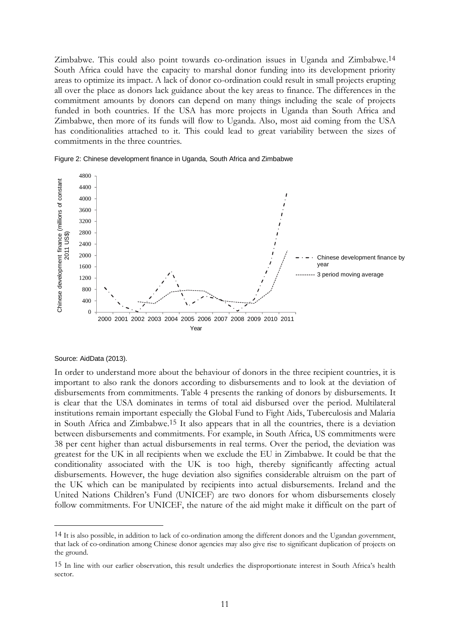Zimbabwe. This could also point towards co-ordination issues in Uganda and Zimbabwe.14 South Africa could have the capacity to marshal donor funding into its development priority areas to optimize its impact. A lack of donor co-ordination could result in small projects erupting all over the place as donors lack guidance about the key areas to finance. The differences in the commitment amounts by donors can depend on many things including the scale of projects funded in both countries. If the USA has more projects in Uganda than South Africa and Zimbabwe, then more of its funds will flow to Uganda. Also, most aid coming from the USA has conditionalities attached to it. This could lead to great variability between the sizes of commitments in the three countries.





#### Source: AidData (2013).

-

In order to understand more about the behaviour of donors in the three recipient countries, it is important to also rank the donors according to disbursements and to look at the deviation of disbursements from commitments. Table 4 presents the ranking of donors by disbursements. It is clear that the USA dominates in terms of total aid disbursed over the period. Multilateral institutions remain important especially the Global Fund to Fight Aids, Tuberculosis and Malaria in South Africa and Zimbabwe.15 It also appears that in all the countries, there is a deviation between disbursements and commitments. For example, in South Africa, US commitments were 38 per cent higher than actual disbursements in real terms. Over the period, the deviation was greatest for the UK in all recipients when we exclude the EU in Zimbabwe. It could be that the conditionality associated with the UK is too high, thereby significantly affecting actual disbursements. However, the huge deviation also signifies considerable altruism on the part of the UK which can be manipulated by recipients into actual disbursements. Ireland and the United Nations Children's Fund (UNICEF) are two donors for whom disbursements closely follow commitments. For UNICEF, the nature of the aid might make it difficult on the part of

<sup>14</sup> It is also possible, in addition to lack of co-ordination among the different donors and the Ugandan government, that lack of co-ordination among Chinese donor agencies may also give rise to significant duplication of projects on the ground.

<sup>15</sup> In line with our earlier observation, this result underlies the disproportionate interest in South Africa's health sector.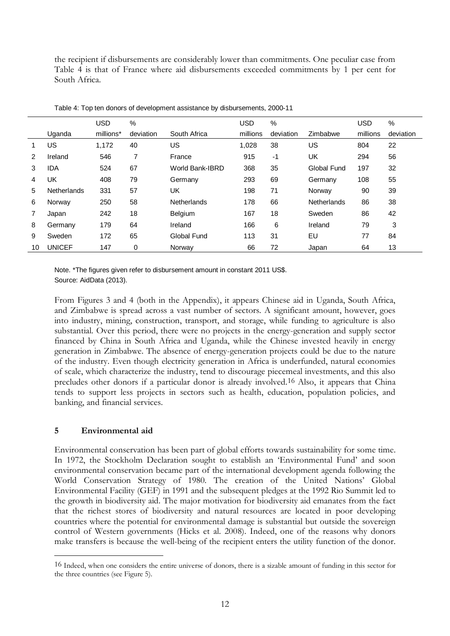the recipient if disbursements are considerably lower than commitments. One peculiar case from Table 4 is that of France where aid disbursements exceeded commitments by 1 per cent for South Africa.

|                |                    | <b>USD</b> | $\%$      |                 | <b>USD</b> | %         |                    | <b>USD</b> | %         |
|----------------|--------------------|------------|-----------|-----------------|------------|-----------|--------------------|------------|-----------|
|                | Uganda             | millions*  | deviation | South Africa    | millions   | deviation | Zimbabwe           | millions   | deviation |
|                | US                 | 1.172      | 40        | US              | 1,028      | 38        | US                 | 804        | 22        |
| $\overline{2}$ | Ireland            | 546        | 7         | France          | 915        | $-1$      | UK                 | 294        | 56        |
| 3              | <b>IDA</b>         | 524        | 67        | World Bank-IBRD | 368        | 35        | Global Fund        | 197        | 32        |
| 4              | UK                 | 408        | 79        | Germany         | 293        | 69        | Germany            | 108        | 55        |
| 5              | <b>Netherlands</b> | 331        | 57        | UK              | 198        | 71        | Norway             | 90         | 39        |
| 6              | Norway             | 250        | 58        | Netherlands     | 178        | 66        | <b>Netherlands</b> | 86         | 38        |
| 7              | Japan              | 242        | 18        | <b>Belgium</b>  | 167        | 18        | Sweden             | 86         | 42        |
| 8              | Germany            | 179        | 64        | Ireland         | 166        | 6         | Ireland            | 79         | 3         |
| 9              | Sweden             | 172        | 65        | Global Fund     | 113        | 31        | EU                 | 77         | 84        |
| 10             | <b>UNICEF</b>      | 147        | 0         | Norway          | 66         | 72        | Japan              | 64         | 13        |

Table 4: Top ten donors of development assistance by disbursements, 2000-11

Note. \*The figures given refer to disbursement amount in constant 2011 US\$. Source: AidData (2013).

From Figures 3 and 4 (both in the Appendix), it appears Chinese aid in Uganda, South Africa, and Zimbabwe is spread across a vast number of sectors. A significant amount, however, goes into industry, mining, construction, transport, and storage, while funding to agriculture is also substantial. Over this period, there were no projects in the energy-generation and supply sector financed by China in South Africa and Uganda, while the Chinese invested heavily in energy generation in Zimbabwe. The absence of energy-generation projects could be due to the nature of the industry. Even though electricity generation in Africa is underfunded, natural economies of scale, which characterize the industry, tend to discourage piecemeal investments, and this also precludes other donors if a particular donor is already involved.16 Also, it appears that China tends to support less projects in sectors such as health, education, population policies, and banking, and financial services.

# **5 Environmental aid**

<u>.</u>

Environmental conservation has been part of global efforts towards sustainability for some time. In 1972, the Stockholm Declaration sought to establish an 'Environmental Fund' and soon environmental conservation became part of the international development agenda following the World Conservation Strategy of 1980. The creation of the United Nations' Global Environmental Facility (GEF) in 1991 and the subsequent pledges at the 1992 Rio Summit led to the growth in biodiversity aid. The major motivation for biodiversity aid emanates from the fact that the richest stores of biodiversity and natural resources are located in poor developing countries where the potential for environmental damage is substantial but outside the sovereign control of Western governments (Hicks et al. 2008). Indeed, one of the reasons why donors make transfers is because the well-being of the recipient enters the utility function of the donor.

<sup>16</sup> Indeed, when one considers the entire universe of donors, there is a sizable amount of funding in this sector for the three countries (see Figure 5).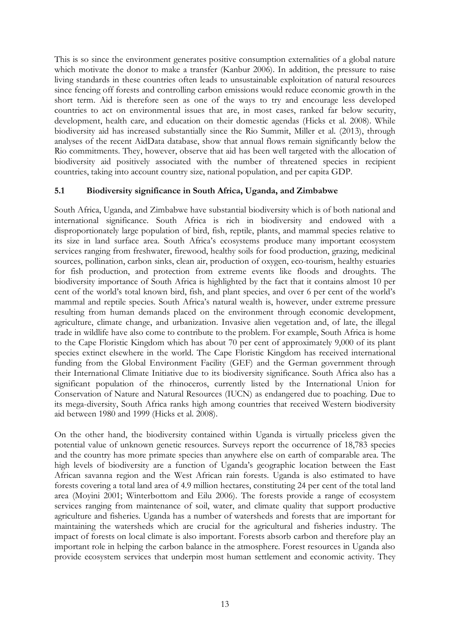This is so since the environment generates positive consumption externalities of a global nature which motivate the donor to make a transfer (Kanbur 2006). In addition, the pressure to raise living standards in these countries often leads to unsustainable exploitation of natural resources since fencing off forests and controlling carbon emissions would reduce economic growth in the short term. Aid is therefore seen as one of the ways to try and encourage less developed countries to act on environmental issues that are, in most cases, ranked far below security, development, health care, and education on their domestic agendas (Hicks et al. 2008). While biodiversity aid has increased substantially since the Rio Summit, Miller et al. (2013), through analyses of the recent AidData database, show that annual flows remain significantly below the Rio commitments. They, however, observe that aid has been well targeted with the allocation of biodiversity aid positively associated with the number of threatened species in recipient countries, taking into account country size, national population, and per capita GDP.

# **5.1 Biodiversity significance in South Africa, Uganda, and Zimbabwe**

South Africa, Uganda, and Zimbabwe have substantial biodiversity which is of both national and international significance. South Africa is rich in biodiversity and endowed with a disproportionately large population of bird, fish, reptile, plants, and mammal species relative to its size in land surface area. South Africa's ecosystems produce many important ecosystem services ranging from freshwater, firewood, healthy soils for food production, grazing, medicinal sources, pollination, carbon sinks, clean air, production of oxygen, eco-tourism, healthy estuaries for fish production, and protection from extreme events like floods and droughts. The biodiversity importance of South Africa is highlighted by the fact that it contains almost 10 per cent of the world's total known bird, fish, and plant species, and over 6 per cent of the world's mammal and reptile species. South Africa's natural wealth is, however, under extreme pressure resulting from human demands placed on the environment through economic development, agriculture, climate change, and urbanization. Invasive alien vegetation and, of late, the illegal trade in wildlife have also come to contribute to the problem. For example, South Africa is home to the Cape Floristic Kingdom which has about 70 per cent of approximately 9,000 of its plant species extinct elsewhere in the world. The Cape Floristic Kingdom has received international funding from the Global Environment Facility (GEF) and the German government through their International Climate Initiative due to its biodiversity significance. South Africa also has a significant population of the rhinoceros, currently listed by the International Union for Conservation of Nature and Natural Resources (IUCN) as endangered due to poaching. Due to its mega-diversity, South Africa ranks high among countries that received Western biodiversity aid between 1980 and 1999 (Hicks et al. 2008).

On the other hand, the biodiversity contained within Uganda is virtually priceless given the potential value of unknown genetic resources. Surveys report the occurrence of 18,783 species and the country has more primate species than anywhere else on earth of comparable area. The high levels of biodiversity are a function of Uganda's geographic location between the East African savanna region and the West African rain forests. Uganda is also estimated to have forests covering a total land area of 4.9 million hectares, constituting 24 per cent of the total land area (Moyini 2001; Winterbottom and Eilu 2006). The forests provide a range of ecosystem services ranging from maintenance of soil, water, and climate quality that support productive agriculture and fisheries. Uganda has a number of watersheds and forests that are important for maintaining the watersheds which are crucial for the agricultural and fisheries industry. The impact of forests on local climate is also important. Forests absorb carbon and therefore play an important role in helping the carbon balance in the atmosphere. Forest resources in Uganda also provide ecosystem services that underpin most human settlement and economic activity. They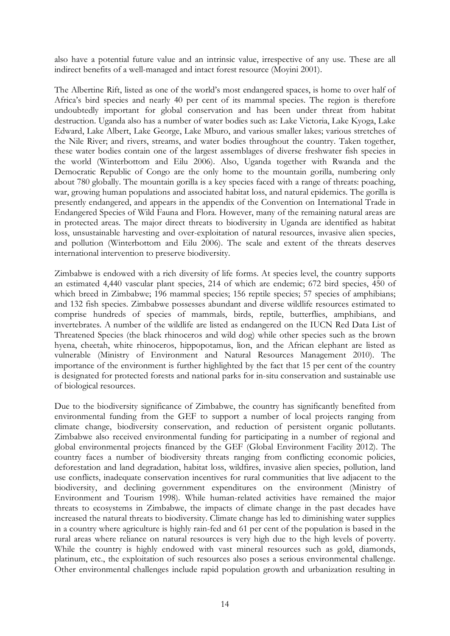also have a potential future value and an intrinsic value, irrespective of any use. These are all indirect benefits of a well-managed and intact forest resource (Moyini 2001).

The Albertine Rift, listed as one of the world's most endangered spaces, is home to over half of Africa's bird species and nearly 40 per cent of its mammal species. The region is therefore undoubtedly important for global conservation and has been under threat from habitat destruction. Uganda also has a number of water bodies such as: Lake Victoria, Lake Kyoga, Lake Edward, Lake Albert, Lake George, Lake Mburo, and various smaller lakes; various stretches of the Nile River; and rivers, streams, and water bodies throughout the country. Taken together, these water bodies contain one of the largest assemblages of diverse freshwater fish species in the world (Winterbottom and Eilu 2006). Also, Uganda together with Rwanda and the Democratic Republic of Congo are the only home to the mountain gorilla, numbering only about 780 globally. The mountain gorilla is a key species faced with a range of threats: poaching, war, growing human populations and associated habitat loss, and natural epidemics. The gorilla is presently endangered, and appears in the appendix of the Convention on International Trade in Endangered Species of Wild Fauna and Flora. However, many of the remaining natural areas are in protected areas. The major direct threats to biodiversity in Uganda are identified as habitat loss, unsustainable harvesting and over-exploitation of natural resources, invasive alien species, and pollution (Winterbottom and Eilu 2006). The scale and extent of the threats deserves international intervention to preserve biodiversity.

Zimbabwe is endowed with a rich diversity of life forms. At species level, the country supports an estimated 4,440 vascular plant species, 214 of which are endemic; 672 bird species, 450 of which breed in Zimbabwe; 196 mammal species; 156 reptile species; 57 species of amphibians; and 132 fish species. Zimbabwe possesses abundant and diverse wildlife resources estimated to comprise hundreds of species of mammals, birds, reptile, butterflies, amphibians, and invertebrates. A number of the wildlife are listed as endangered on the IUCN Red Data List of Threatened Species (the black rhinoceros and wild dog) while other species such as the brown hyena, cheetah, white rhinoceros, hippopotamus, lion, and the African elephant are listed as vulnerable (Ministry of Environment and Natural Resources Management 2010). The importance of the environment is further highlighted by the fact that 15 per cent of the country is designated for protected forests and national parks for in-situ conservation and sustainable use of biological resources.

Due to the biodiversity significance of Zimbabwe, the country has significantly benefited from environmental funding from the GEF to support a number of local projects ranging from climate change, biodiversity conservation, and reduction of persistent organic pollutants. Zimbabwe also received environmental funding for participating in a number of regional and global environmental projects financed by the GEF (Global Environment Facility 2012). The country faces a number of biodiversity threats ranging from conflicting economic policies, deforestation and land degradation, habitat loss, wildfires, invasive alien species, pollution, land use conflicts, inadequate conservation incentives for rural communities that live adjacent to the biodiversity, and declining government expenditures on the environment (Ministry of Environment and Tourism 1998). While human-related activities have remained the major threats to ecosystems in Zimbabwe, the impacts of climate change in the past decades have increased the natural threats to biodiversity. Climate change has led to diminishing water supplies in a country where agriculture is highly rain-fed and 61 per cent of the population is based in the rural areas where reliance on natural resources is very high due to the high levels of poverty. While the country is highly endowed with vast mineral resources such as gold, diamonds, platinum, etc., the exploitation of such resources also poses a serious environmental challenge. Other environmental challenges include rapid population growth and urbanization resulting in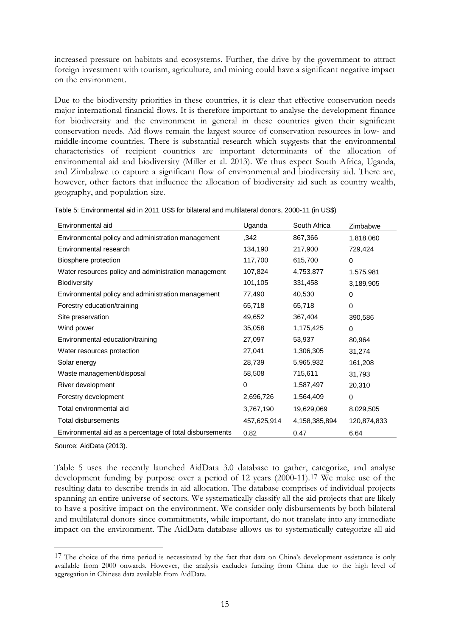increased pressure on habitats and ecosystems. Further, the drive by the government to attract foreign investment with tourism, agriculture, and mining could have a significant negative impact on the environment.

Due to the biodiversity priorities in these countries, it is clear that effective conservation needs major international financial flows. It is therefore important to analyse the development finance for biodiversity and the environment in general in these countries given their significant conservation needs. Aid flows remain the largest source of conservation resources in low- and middle-income countries. There is substantial research which suggests that the environmental characteristics of recipient countries are important determinants of the allocation of environmental aid and biodiversity (Miller et al. 2013). We thus expect South Africa, Uganda, and Zimbabwe to capture a significant flow of environmental and biodiversity aid. There are, however, other factors that influence the allocation of biodiversity aid such as country wealth, geography, and population size.

| 867,366<br>1,818,060         |
|------------------------------|
|                              |
| 217,900<br>729,424           |
| 615,700<br>0                 |
| 4,753,877<br>1,575,981       |
| 331,458<br>3,189,905         |
| 40,530<br>0                  |
| 65,718<br>$\Omega$           |
| 367,404<br>390,586           |
| 1,175,425<br>$\Omega$        |
| 53,937<br>80,964             |
| 1,306,305<br>31,274          |
| 5,965,932<br>161,208         |
| 715,611<br>31,793            |
| 1,587,497<br>20,310          |
| 1,564,409<br>0               |
| 19,629,069<br>8,029,505      |
| 4,158,385,894<br>120,874,833 |
| 6.64<br>0.47                 |
|                              |

Table 5: Environmental aid in 2011 US\$ for bilateral and multilateral donors, 2000-11 (in US\$)

Source: AidData (2013).

-

Table 5 uses the recently launched AidData 3.0 database to gather, categorize, and analyse development funding by purpose over a period of 12 years (2000-11).17 We make use of the resulting data to describe trends in aid allocation. The database comprises of individual projects spanning an entire universe of sectors. We systematically classify all the aid projects that are likely to have a positive impact on the environment. We consider only disbursements by both bilateral and multilateral donors since commitments, while important, do not translate into any immediate impact on the environment. The AidData database allows us to systematically categorize all aid

<sup>&</sup>lt;sup>17</sup> The choice of the time period is necessitated by the fact that data on China's development assistance is only available from 2000 onwards. However, the analysis excludes funding from China due to the high level of aggregation in Chinese data available from AidData.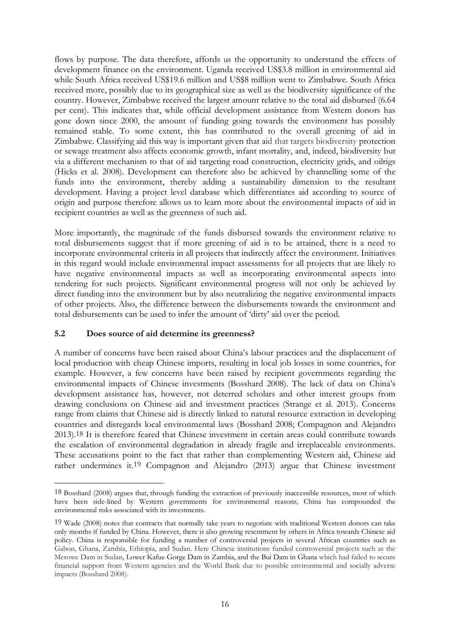flows by purpose. The data therefore, affords us the opportunity to understand the effects of development finance on the environment. Uganda received US\$3.8 million in environmental aid while South Africa received US\$19.6 million and US\$8 million went to Zimbabwe. South Africa received more, possibly due to its geographical size as well as the biodiversity significance of the country. However, Zimbabwe received the largest amount relative to the total aid disbursed (6.64 per cent). This indicates that, while official development assistance from Western donors has gone down since 2000, the amount of funding going towards the environment has possibly remained stable. To some extent, this has contributed to the overall greening of aid in Zimbabwe. Classifying aid this way is important given that aid that targets biodiversity protection or sewage treatment also affects economic growth, infant mortality, and, indeed, biodiversity but via a different mechanism to that of aid targeting road construction, electricity grids, and oilrigs (Hicks et al. 2008). Development can therefore also be achieved by channelling some of the funds into the environment, thereby adding a sustainability dimension to the resultant development. Having a project level database which differentiates aid according to source of origin and purpose therefore allows us to learn more about the environmental impacts of aid in recipient countries as well as the greenness of such aid.

More importantly, the magnitude of the funds disbursed towards the environment relative to total disbursements suggest that if more greening of aid is to be attained, there is a need to incorporate environmental criteria in all projects that indirectly affect the environment. Initiatives in this regard would include environmental impact assessments for all projects that are likely to have negative environmental impacts as well as incorporating environmental aspects into tendering for such projects. Significant environmental progress will not only be achieved by direct funding into the environment but by also neutralizing the negative environmental impacts of other projects. Also, the difference between the disbursements towards the environment and total disbursements can be used to infer the amount of 'dirty' aid over the period.

# **5.2 Does source of aid determine its greenness?**

-

A number of concerns have been raised about China's labour practices and the displacement of local production with cheap Chinese imports, resulting in local job losses in some countries, for example. However, a few concerns have been raised by recipient governments regarding the environmental impacts of Chinese investments (Bosshard 2008). The lack of data on China's development assistance has, however, not deterred scholars and other interest groups from drawing conclusions on Chinese aid and investment practices (Strange et al. 2013). Concerns range from claims that Chinese aid is directly linked to natural resource extraction in developing countries and disregards local environmental laws (Bosshard 2008; Compagnon and Alejandro 2013).18 It is therefore feared that Chinese investment in certain areas could contribute towards the escalation of environmental degradation in already fragile and irreplaceable environments. These accusations point to the fact that rather than complementing Western aid, Chinese aid rather undermines it.19 Compagnon and Alejandro (2013) argue that Chinese investment

<sup>18</sup> Bosshard (2008) argues that, through funding the extraction of previously inaccessible resources, most of which have been side-lined by Western governments for environmental reasons, China has compounded the environmental risks associated with its investments.

<sup>19</sup> Wade (2008) notes that contracts that normally take years to negotiate with traditional Western donors can take only months if funded by China. However, there is also growing resentment by others in Africa towards Chinese aid policy. China is responsible for funding a number of controversial projects in several African countries such as Gabon, Ghana, Zambia, Ethiopia, and Sudan. Here Chinese institutions funded controversial projects such as the Merowe Dam in Sudan, Lower Kafue Gorge Dam in Zambia, and the Bui Dam in Ghana which had failed to secure financial support from Western agencies and the World Bank due to possible environmental and socially adverse impacts (Bosshard 2008).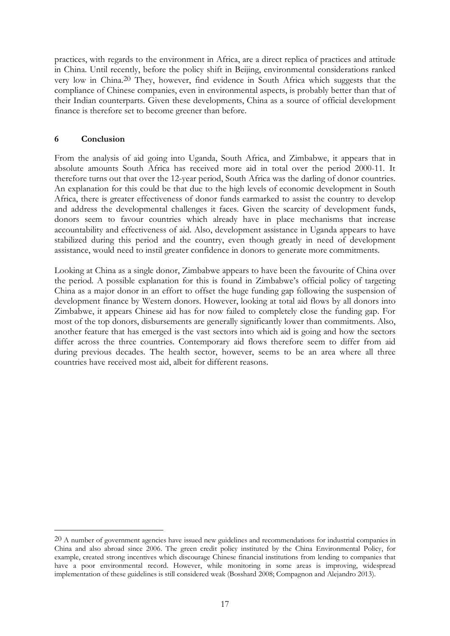practices, with regards to the environment in Africa, are a direct replica of practices and attitude in China. Until recently, before the policy shift in Beijing, environmental considerations ranked very low in China.20 They, however, find evidence in South Africa which suggests that the compliance of Chinese companies, even in environmental aspects, is probably better than that of their Indian counterparts. Given these developments, China as a source of official development finance is therefore set to become greener than before.

# **6 Conclusion**

-

From the analysis of aid going into Uganda, South Africa, and Zimbabwe, it appears that in absolute amounts South Africa has received more aid in total over the period 2000-11. It therefore turns out that over the 12-year period, South Africa was the darling of donor countries. An explanation for this could be that due to the high levels of economic development in South Africa, there is greater effectiveness of donor funds earmarked to assist the country to develop and address the developmental challenges it faces. Given the scarcity of development funds, donors seem to favour countries which already have in place mechanisms that increase accountability and effectiveness of aid. Also, development assistance in Uganda appears to have stabilized during this period and the country, even though greatly in need of development assistance, would need to instil greater confidence in donors to generate more commitments.

Looking at China as a single donor, Zimbabwe appears to have been the favourite of China over the period. A possible explanation for this is found in Zimbabwe's official policy of targeting China as a major donor in an effort to offset the huge funding gap following the suspension of development finance by Western donors. However, looking at total aid flows by all donors into Zimbabwe, it appears Chinese aid has for now failed to completely close the funding gap. For most of the top donors, disbursements are generally significantly lower than commitments. Also, another feature that has emerged is the vast sectors into which aid is going and how the sectors differ across the three countries. Contemporary aid flows therefore seem to differ from aid during previous decades. The health sector, however, seems to be an area where all three countries have received most aid, albeit for different reasons.

<sup>20</sup> A number of government agencies have issued new guidelines and recommendations for industrial companies in China and also abroad since 2006. The green credit policy instituted by the China Environmental Policy, for example, created strong incentives which discourage Chinese financial institutions from lending to companies that have a poor environmental record. However, while monitoring in some areas is improving, widespread implementation of these guidelines is still considered weak (Bosshard 2008; Compagnon and Alejandro 2013).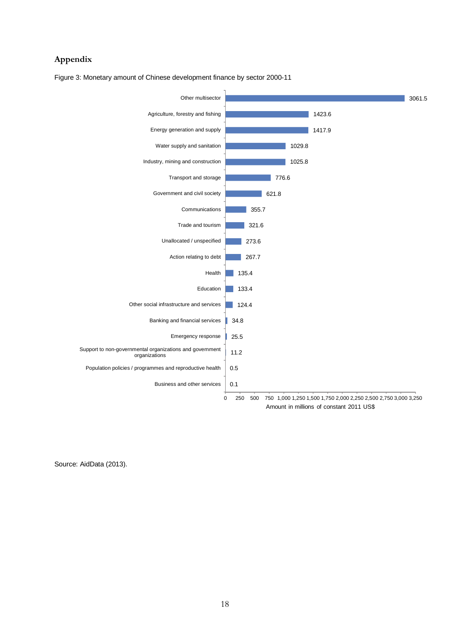# **Appendix**



Figure 3: Monetary amount of Chinese development finance by sector 2000-11

Source: AidData (2013).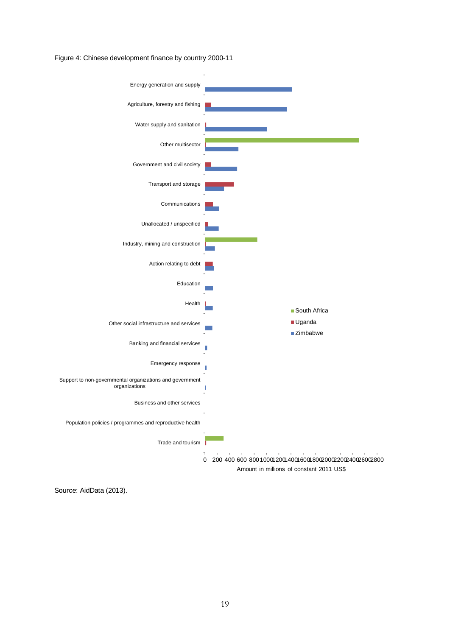#### Figure 4: Chinese development finance by country 2000-11



Source: AidData (2013).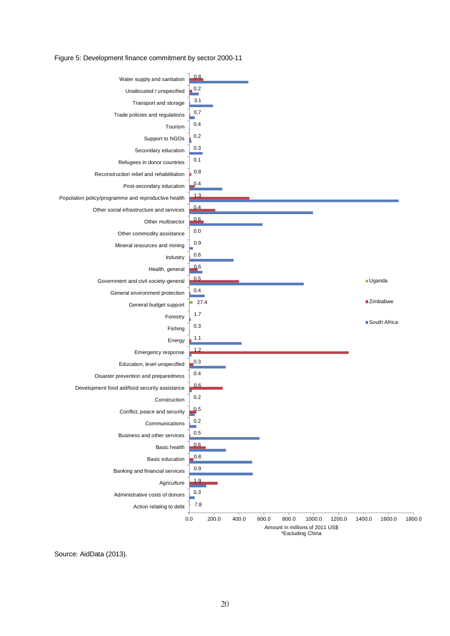#### Figure 5: Development finance commitment by sector 2000-11



Source: AidData (2013).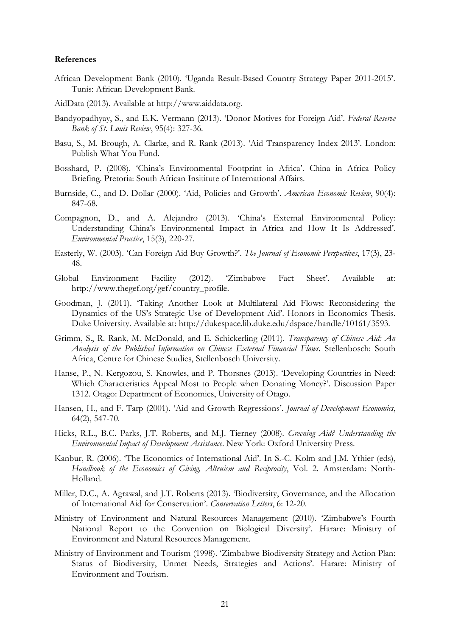#### **References**

- African Development Bank (2010). 'Uganda Result-Based Country Strategy Paper 2011-2015'. Tunis: African Development Bank.
- AidData (2013). Available at http://www.aiddata.org.
- Bandyopadhyay, S., and E.K. Vermann (2013). 'Donor Motives for Foreign Aid'. *Federal Reserve Bank of St. Louis Review*, 95(4): 327-36.
- Basu, S., M. Brough, A. Clarke, and R. Rank (2013). 'Aid Transparency Index 2013'. London: Publish What You Fund.
- Bosshard, P. (2008). 'China's Environmental Footprint in Africa'. China in Africa Policy Briefing. Pretoria: South African Insititute of International Affairs.
- Burnside, C., and D. Dollar (2000). 'Aid, Policies and Growth'. *American Economic Review*, 90(4): 847-68.
- Compagnon, D., and A. Alejandro (2013). 'China's External Environmental Policy: Understanding China's Environmental Impact in Africa and How It Is Addressed'. *Environmental Practice*, 15(3), 220-27.
- Easterly, W. (2003). 'Can Foreign Aid Buy Growth?'. *The Journal of Economic Perspectives*, 17(3), 23- 48.
- Global Environment Facility (2012). 'Zimbabwe Fact Sheet'. Available at: http://www.thegef.org/gef/country\_profile.
- Goodman, J. (2011). 'Taking Another Look at Multilateral Aid Flows: Reconsidering the Dynamics of the US's Strategic Use of Development Aid'. Honors in Economics Thesis. Duke University. Available at: http://dukespace.lib.duke.edu/dspace/handle/10161/3593.
- Grimm, S., R. Rank, M. McDonald, and E. Schickerling (2011). *Transparency of Chinese Aid: An Analysis of the Published Information on Chinese External Financial Flows*. Stellenbosch: South Africa, Centre for Chinese Studies, Stellenbosch University.
- Hanse, P., N. Kergozou, S. Knowles, and P. Thorsnes (2013). 'Developing Countries in Need: Which Characteristics Appeal Most to People when Donating Money?'. Discussion Paper 1312. Otago: Department of Economics, University of Otago.
- Hansen, H., and F. Tarp (2001). 'Aid and Growth Regressions'. *Journal of Development Economics*, 64(2), 547-70.
- Hicks, R.L., B.C. Parks, J.T. Roberts, and M.J. Tierney (2008). *Greening Aid? Understanding the Environmental Impact of Development Assistance*. New York: Oxford University Press.
- Kanbur, R. (2006). 'The Economics of International Aid'. In S.-C. Kolm and J.M. Ythier (eds), *Handbook of the Economics of Giving, Altruism and Reciprocity*, Vol. 2. Amsterdam: North-Holland.
- Miller, D.C., A. Agrawal, and J.T. Roberts (2013). 'Biodiversity, Governance, and the Allocation of International Aid for Conservation'. *Conservation Letters*, 6: 12-20.
- Ministry of Environment and Natural Resources Management (2010). 'Zimbabwe's Fourth National Report to the Convention on Biological Diversity'. Harare: Ministry of Environment and Natural Resources Management.
- Ministry of Environment and Tourism (1998). 'Zimbabwe Biodiversity Strategy and Action Plan: Status of Biodiversity, Unmet Needs, Strategies and Actions'. Harare: Ministry of Environment and Tourism.